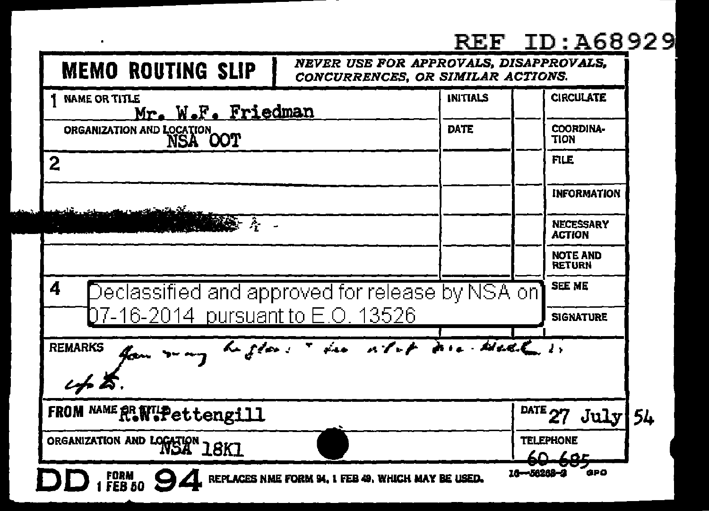## **REF ID: A68929**

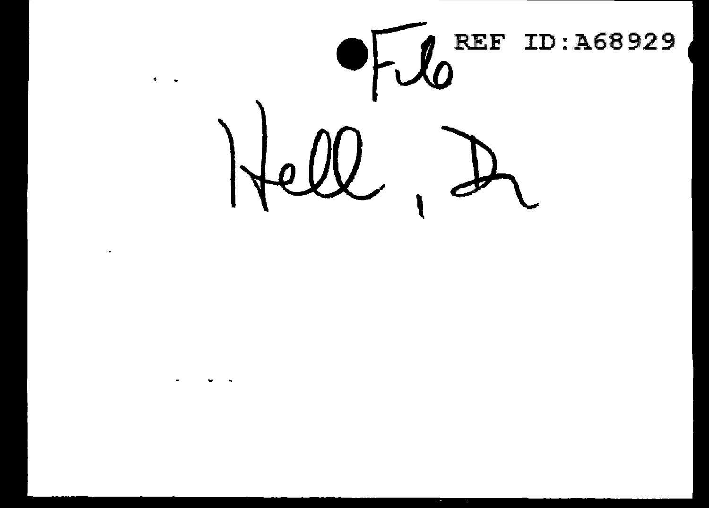

 $\blacksquare$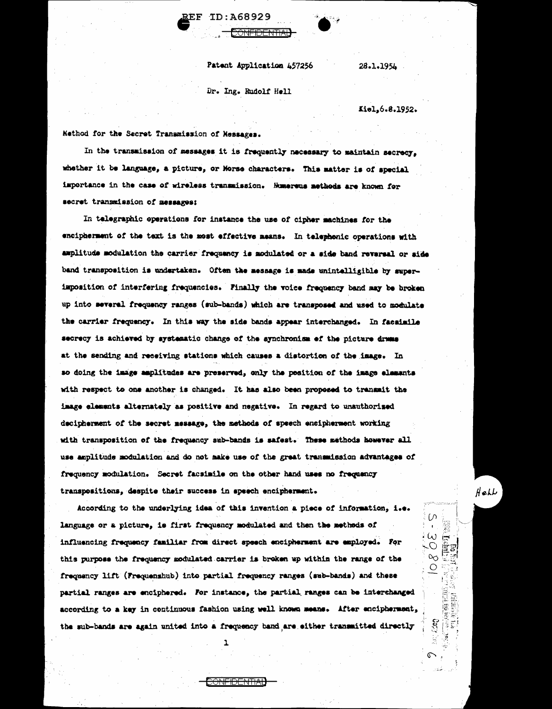ID:A68929 7.RF

Patent Application 457256

<del>ONFIDENTIA</del>

28.1.1954

Dr. Ing. Rudolf Hell

Kiel.6.8.1952.

Nethod for the Secret Transmission of Nessages.

In the transmission of messages it is frequently necessary to maintain secrecy, whether it be language, a picture, or Morse characters. This matter is of special importance in the case of wireless transmission. Mumerous methods are known for secret transmission of messages:

In telegraphic operations for instance the use of cipher machines for the encipherment of the text is the most effective means. In telephonic operations with amplitude modulation the carrier frequency is modulated or a side band reversal or side band transposition is undertaken. Often the message is made unintelligible by superimposition of interfering frequencies. Finally the voice frequency band may be broken up into several frequency ranges (sub-bands) which are transposed and used to modulate the carrier frequency. In this way the side bands appear interchanged. In facainile secrecy is achieved by systematic change of the synchronism of the picture drams at the sending and receiving stations which causes a distortion of the image. In so doing the image amplitudes are preserved, only the position of the image elements with respect to one another is changed. It has also been proposed to transmit the image elements alternately as positive and negative. In regard to unauthorised decipherment of the secret message, the methods of speech encipherment working with transposition of the frequency sub-bands is safest. These methods however all use amplitude modulation and do not make use of the great transmission advantages of frequency modulation. Secret facsimile on the other hand uses no frequency transpositions, despite their success in speech encipherment.

According to the underlying idea of this invention a piece of information, i.e. language or a picture, is first frequency modulated and then the methods of influencing frequency familiar from direct speech encipherment are employed. For this purpose the frequency modulated carrier is broken up within the range of the frequency lift (Frequenshub) into partial frequency ranges (sub-bands) and these partial ranges are enciphered. For instance, the partial ranges can be interchanged according to a key in continuous fashion using well known means. After encipherment, the sub-bands are again united into a frequency band are either transmitted directly

<del>)NFIDENTIA</del>

 $H$ ell

(႔

 $\frac{2}{3}$ 

C<sub>1</sub>C2 jŝ

¢

 $\begin{array}{c}\n\cdot\bigcirc\mathcal{S}\n\subset \\
\overline{\mathbb{F}}\in\mathbb{F}_{q_{1}}^{q_{2}}\\
\overline{\mathbb{F}}\in\mathbb{F}_{q_{3}}^{q_{4}}\n\end{array}$ 

्लि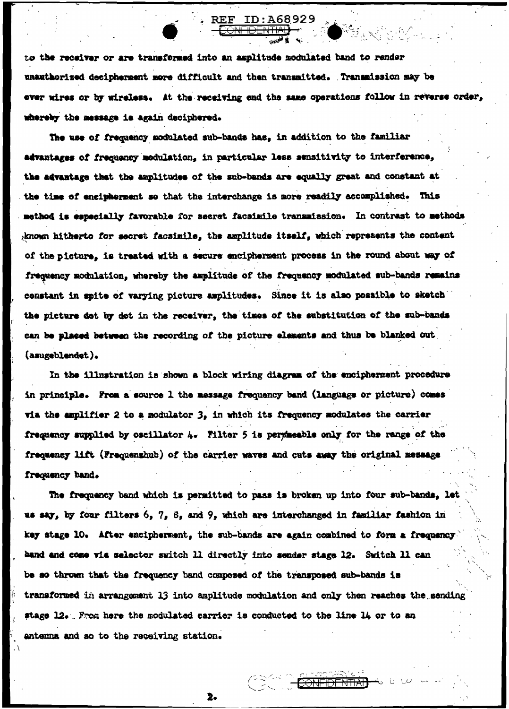to the receiver or are transformed into an amplitude modulated band to render unauthorized decipherment more difficult and then transmitted. Transmission may be ever wires or by wireless. At the receiving end the same operations follow in reverse order, whereby the message is again deciphered.

ID: A68929

The use of frequency modulated sub-bands has, in addition to the familiar advantages of frequency modulation, in particular less sensitivity to interference. the advantage that the amplitudes of the sub-bands are equally great and constant at the time of encipherment so that the interchange is more readily accomplished. This method is especially favorable for secret facsimile transmission. In contrast to methods known hitherto for secret facsimile, the amplitude itself, which represents the content of the picture, is treated with a secure encipherment process in the round about way of frequency modulation, whereby the amplitude of the frequency modulated sub-bands remains constant in spite of varying picture amplitudes. Since it is also possible to sketch the picture dot by dot in the receiver, the times of the substitution of the sub-bands can be placed between the recording of the picture elements and thus be blanked out (asugeblendet).

In the illustration is shown a block wiring diagram of the encipherment procedure in principle. From a source 1 the message frequency band (language or picture) comes via the amplifier 2 to a modulator 3, in which its frequency modulates the carrier frequency supplied by oscillator 4. Filter 5 is permeable only for the range of the frequency lift (Frequenshub) of the carrier waves and cuts away the original message frequency band.

The frequency band which is permitted to pass is broken up into four sub-bands, let us say, by four filters 6, 7, 8, and 9, which are interchanged in familiar fashion in key stage 10. After encipherment, the sub-bands are again combined to form a frequency band and come via selector switch 11 directly into sender stage 12. Switch 11 can be so thrown that the frequency band composed of the transposed sub-bands is transformed in arrangement 13 into amplitude modulation and only then reaches the sending stage 12. From here the modulated carrier is conducted to the line 14 or to an antenna and so to the receiving station.

 $2.$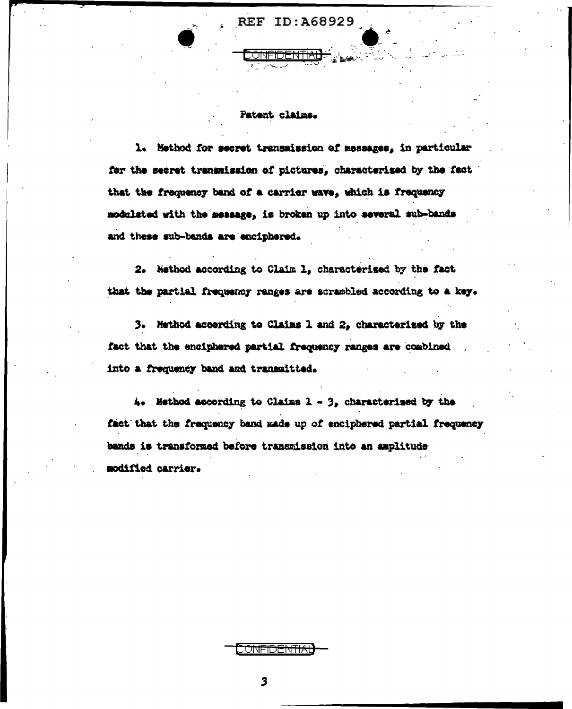## Patent claims.

1. Method for secret transmission of messages, in particular for the secret transmission of pictures. characterized by the fact that the frequency band of a carrier wave, which is frequency modulated with the message, is broken up into several sub-bands and these sub-bands are enciphered.

2. Method according to Claim 1, characterised by the fact that the partial frequency ranges are scrambled according to a key.

3. Hethod according to Claims 1 and 2, characterized by the fact that the enciphered partial frequency ranges are combined into a frequency band and transmitted.

 $4.4$  Method according to Claims  $1 - 3$ , characterised by the fact that the frequency band made up of enciphered partial frequency bands is transformed before transmission into an amplitude modified carrier.